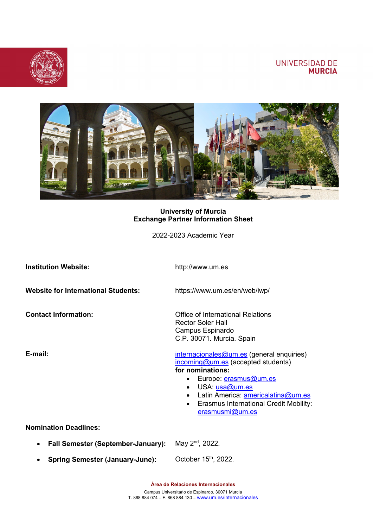## UNIVERSIDAD DE **MURCIA**





### **University of Murcia Exchange Partner Information Sheet**

2022-2023 Academic Year

| <b>Institution Website:</b>                            | http://www.um.es                                                                                                                                                                                                                                                                                             |  |
|--------------------------------------------------------|--------------------------------------------------------------------------------------------------------------------------------------------------------------------------------------------------------------------------------------------------------------------------------------------------------------|--|
| <b>Website for International Students:</b>             | https://www.um.es/en/web/iwp/                                                                                                                                                                                                                                                                                |  |
| <b>Contact Information:</b>                            | Office of International Relations<br><b>Rector Soler Hall</b><br>Campus Espinardo<br>C.P. 30071. Murcia. Spain                                                                                                                                                                                               |  |
| E-mail:                                                | internacionales@um.es (general enquiries)<br>incoming@um.es (accepted students)<br>for nominations:<br>Europe: erasmus@um.es<br>$\bullet$<br>USA: usa@um.es<br>$\bullet$<br>Latin America: americalatina@um.es<br>$\bullet$<br><b>Erasmus International Credit Mobility:</b><br>$\bullet$<br>erasmusmi@um.es |  |
| <b>Nomination Deadlines:</b>                           |                                                                                                                                                                                                                                                                                                              |  |
| <b>Fall Semester (September-January):</b><br>$\bullet$ | May 2 <sup>nd</sup> , 2022.                                                                                                                                                                                                                                                                                  |  |
| <b>Spring Semester (January-June):</b><br>٠            | October 15 <sup>th</sup> , 2022.                                                                                                                                                                                                                                                                             |  |

**Área de Relaciones Internacionales**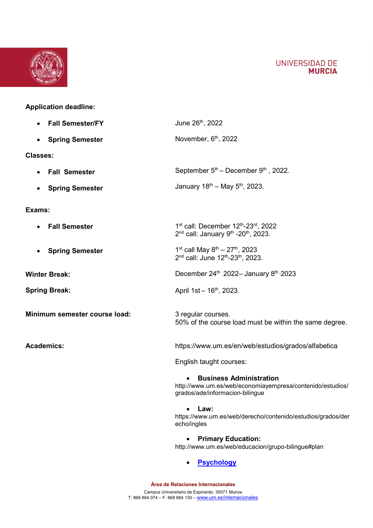



# **Application deadline:**

| <b>Fall Semester/FY</b>             | June 26th, 2022                                                                                                                              |  |
|-------------------------------------|----------------------------------------------------------------------------------------------------------------------------------------------|--|
| <b>Spring Semester</b>              | November, 6 <sup>th</sup> , 2022                                                                                                             |  |
| <b>Classes:</b>                     |                                                                                                                                              |  |
| • Fall Semester                     | September $5th$ – December $9th$ , 2022.                                                                                                     |  |
| <b>Spring Semester</b><br>$\bullet$ | January $18^{th}$ – May $5^{th}$ , 2023.                                                                                                     |  |
| Exams:                              |                                                                                                                                              |  |
| <b>Fall Semester</b>                | 1 <sup>st</sup> call: December 12 <sup>th</sup> -23 <sup>rd</sup> , 2022<br>$2^{nd}$ call: January 9 <sup>th</sup> -20 <sup>th</sup> , 2023. |  |
| <b>Spring Semester</b>              | 1 <sup>st</sup> call May $8^{th} - 27^{th}$ , 2023<br>2 <sup>nd</sup> call: June 12 <sup>th</sup> -23 <sup>th</sup> , 2023.                  |  |
| <b>Winter Break:</b>                | December 24th 2022- January 8th, 2023                                                                                                        |  |
| <b>Spring Break:</b>                | April 1st - 16 <sup>th</sup> , 2023.                                                                                                         |  |
| Minimum semester course load:       | 3 regular courses.<br>50% of the course load must be within the same degree.                                                                 |  |
| <b>Academics:</b>                   | https://www.um.es/en/web/estudios/grados/alfabetica                                                                                          |  |
|                                     | English taught courses:                                                                                                                      |  |
|                                     | <b>Business Administration</b><br>http://www.um.es/web/economiayempresa/contenido/estudios/<br>grados/ade/informacion-bilingue               |  |
|                                     | Law:<br>https://www.um.es/web/derecho/contenido/estudios/grados/der<br>echo/ingles                                                           |  |
|                                     |                                                                                                                                              |  |

• **Primary Education:** <http://www.um.es/web/educacion/grupo-bilingue#plan>

• **[Psychology](file://Gruclatica/grupos/Sr-Relin/%C3%81REA%20DE%20RRII/SERVICIO%20DE%20MOVILIDAD%20INTERNACIONAL/INCOMING%20students/Alumnos/Info%20Envio/Subjects%20offered%20in%20English%20Friendly%20Course%20modality-1.docx%20-%20Acceso%20directo.lnk)**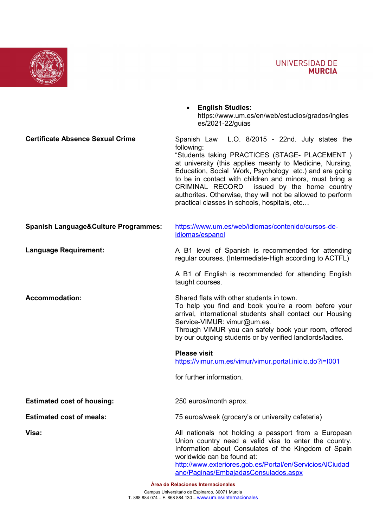

https://www.um.es/en/web/estudios/grados/ingles



| <b>Certificate Absence Sexual Crime</b>         | Spanish Law L.O. 8/2015 - 22nd. July states the<br>following:<br>"Students taking PRACTICES (STAGE- PLACEMENT)<br>at university (this applies meanly to Medicine, Nursing,<br>Education, Social Work, Psychology etc.) and are going<br>to be in contact with children and minors, must bring a<br>CRIMINAL RECORD issued by the home country<br>authorites. Otherwise, they will not be allowed to perform<br>practical classes in schools, hospitals, etc |
|-------------------------------------------------|-------------------------------------------------------------------------------------------------------------------------------------------------------------------------------------------------------------------------------------------------------------------------------------------------------------------------------------------------------------------------------------------------------------------------------------------------------------|
| <b>Spanish Language&amp;Culture Programmes:</b> | https://www.um.es/web/idiomas/contenido/cursos-de-<br>idiomas/espanol                                                                                                                                                                                                                                                                                                                                                                                       |
| <b>Language Requirement:</b>                    | A B1 level of Spanish is recommended for attending<br>regular courses. (Intermediate-High according to ACTFL)                                                                                                                                                                                                                                                                                                                                               |
|                                                 | A B1 of English is recommended for attending English<br>taught courses.                                                                                                                                                                                                                                                                                                                                                                                     |
| <b>Accommodation:</b>                           | Shared flats with other students in town.<br>To help you find and book you're a room before your<br>arrival, international students shall contact our Housing<br>Service-VIMUR: vimur@um.es.<br>Through VIMUR you can safely book your room, offered<br>by our outgoing students or by verified landlords/ladies.                                                                                                                                           |
|                                                 | <b>Please visit</b><br>https://vimur.um.es/vimur/vimur.portal.inicio.do?i=1001                                                                                                                                                                                                                                                                                                                                                                              |
|                                                 | for further information.                                                                                                                                                                                                                                                                                                                                                                                                                                    |
| <b>Estimated cost of housing:</b>               | 250 euros/month aprox.                                                                                                                                                                                                                                                                                                                                                                                                                                      |
| <b>Estimated cost of meals:</b>                 | 75 euros/week (grocery's or university cafeteria)                                                                                                                                                                                                                                                                                                                                                                                                           |
| Visa:                                           | All nationals not holding a passport from a European<br>Union country need a valid visa to enter the country.<br>Information about Consulates of the Kingdom of Spain<br>worldwide can be found at:<br>http://www.exteriores.gob.es/Portal/en/ServiciosAlCiudad<br>ano/Paginas/EmbajadasConsulados.aspx                                                                                                                                                     |

• **English Studies:**

es/2021-22/guias

**Área de Relaciones Internacionales**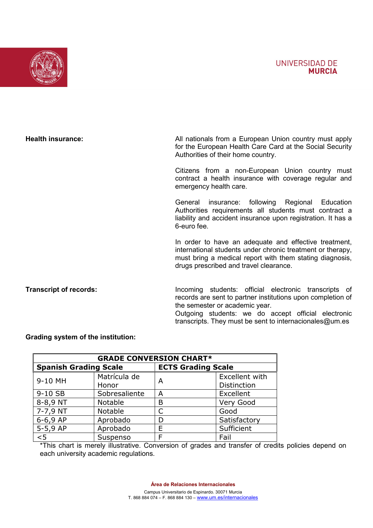### **UNIVERSIDAD DE MURCIA**



**Health insurance:** All nationals from a European Union country must apply for the European Health Care Card at the Social Security Authorities of their home country.

> Citizens from a non-European Union country must contract a health insurance with coverage regular and emergency health care.

> General insurance: following Regional Education Authorities requirements all students must contract a liability and accident insurance upon registration. It has a 6-euro fee.

> In order to have an adequate and effective treatment, international students under chronic treatment or therapy, must bring a medical report with them stating diagnosis, drugs prescribed and travel clearance.

**Transcript of records:**

Incoming students: official electronic transcripts of records are sent to partner institutions upon completion of the semester or academic year.

Outgoing students: we do accept official electronic transcripts. They must be sent to internacionales@um.es

#### **Grading system of the institution:**

| <b>GRADE CONVERSION CHART*</b> |               |                           |                    |  |  |
|--------------------------------|---------------|---------------------------|--------------------|--|--|
| <b>Spanish Grading Scale</b>   |               | <b>ECTS Grading Scale</b> |                    |  |  |
| 9-10 MH                        | Matrícula de  | A                         | Excellent with     |  |  |
|                                | Honor         |                           | <b>Distinction</b> |  |  |
| 9-10 SB                        | Sobresaliente | A                         | Excellent          |  |  |
| 8-8,9 NT                       | Notable       | в                         | Very Good          |  |  |
| 7-7,9 NT                       | Notable       |                           | Good               |  |  |
| $6-6,9AP$                      | Aprobado      | D                         | Satisfactory       |  |  |
| $5-5,9AP$                      | Aprobado      | F                         | Sufficient         |  |  |
| < 5                            | Suspenso      | F                         | Fail               |  |  |

\*This chart is merely illustrative. Conversion of grades and transfer of credits policies depend on each university academic regulations.